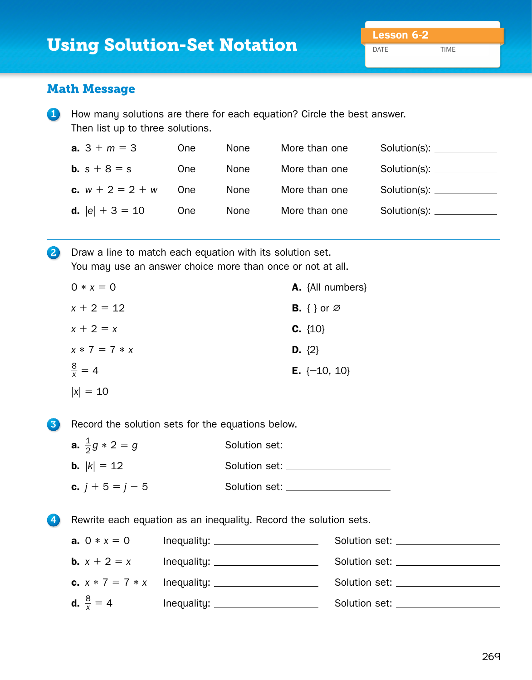DATE TIME

## Math Message

1 How many solutions are there for each equation? Circle the best answer. Then list up to three solutions.

| <b>a.</b> $3 + m = 3$     | 0ne        | None: | More than one |  |
|---------------------------|------------|-------|---------------|--|
| <b>b.</b> $s + 8 = s$     | 0ne        | None: | More than one |  |
| <b>c.</b> $w + 2 = 2 + w$ | 0ne        | None  | More than one |  |
| <b>d.</b> $ e  + 3 = 10$  | <b>One</b> | None  | More than one |  |

2 Draw a line to match each equation with its solution set. You may use an answer choice more than once or not at all.

| $0 * x = 0$       | <b>A.</b> {All numbers}        |
|-------------------|--------------------------------|
| $x + 2 = 12$      | <b>B.</b> { } or $\varnothing$ |
| $x + 2 = x$       | $C. \{10\}$                    |
| $x * 7 = 7 * x$   | <b>D.</b> $\{2\}$              |
| $\frac{8}{x} = 4$ | <b>E.</b> $\{-10, 10\}$        |
| $ x  = 10$        |                                |

**3** Record the solution sets for the equations below.

| <b>a.</b> $\frac{1}{2}g * 2 = g$ | Solution set:       |
|----------------------------------|---------------------|
| <b>b.</b> $ k  = 12$             | Solution set:       |
| <b>c.</b> $j + 5 = j - 5$        | Solution set: _____ |

4 Rewrite each equation as an inequality. Record the solution sets.

| <b>a.</b> $0 * x = 0$       | Inequality: _______________________ | Solution set: <u>contract</u> solution set: |
|-----------------------------|-------------------------------------|---------------------------------------------|
| <b>b.</b> $x + 2 = x$       |                                     | Solution set: ____________                  |
|                             |                                     | Solution set: ______________                |
| <b>d.</b> $\frac{8}{x} = 4$ |                                     | Solution set: ______________                |